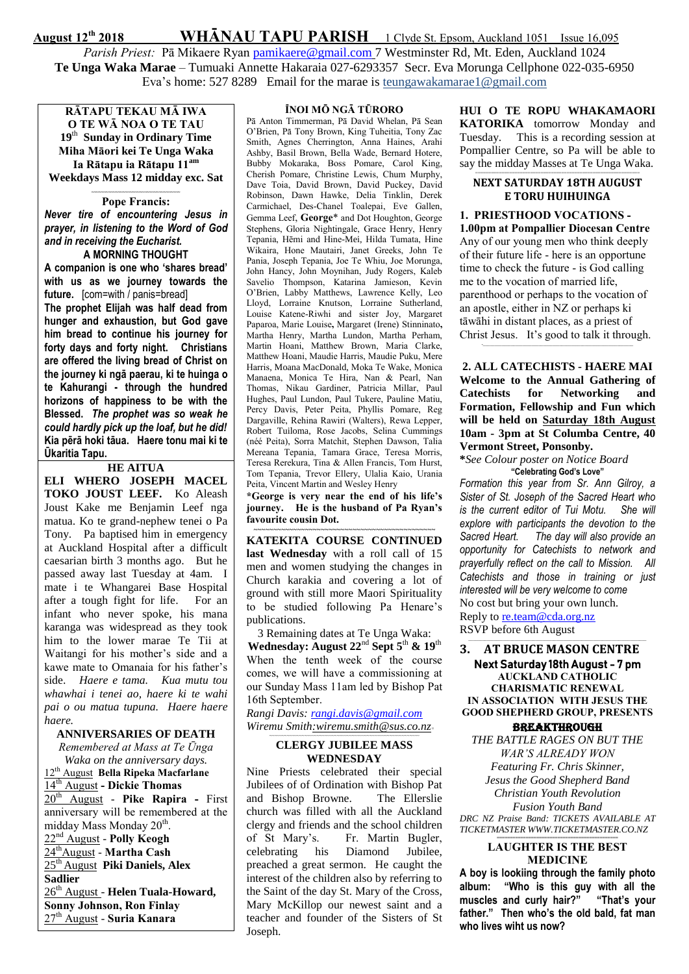Parish Priest: Pā Mikaere Ryan [pamikaere@gmail.com](mailto:pamikaere@gmail.co) 7 Westminster Rd, Mt. Eden, Auckland 1024 **Te Unga Waka Marae** – Tumuaki Annette Hakaraia 027-6293357 Secr. Eva Morunga Cellphone 022-035-6950 Eva's home: 527 8289 Email for the marae is teungawakamarae1@gmail.com

**RĀTAPU TEKAU MĀ IWA O TE WĀ NOA O TE TAU 19** th **Sunday in Ordinary Time Miha Māori kei Te Unga Waka Ia Rātapu ia Rātapu 11am Weekdays Mass 12 midday exc. Sat**

#### **~~~~~~~~~~~~~~~~~~~~~~~~~~~~~~~~~~~~~** Pope Francis:

*Never tire of encountering Jesus in prayer, in listening to the Word of God and in receiving the Eucharist.*

**A MORNING THOUGHT A companion is one who 'shares bread' with us as we journey towards the future.** [com=with / panis=bread]

**The prophet Elijah was half dead from hunger and exhaustion, but God gave him bread to continue his journey for forty days and forty night. Christians are offered the living bread of Christ on the journey ki ngā paerau, ki te huinga o te Kahurangi - through the hundred horizons of happiness to be with the Blessed.** *The prophet was so weak he could hardly pick up the loaf, but he did!* **Kia pērā hoki tāua. Haere tonu mai ki te Ūkaritia Tapu.**

**HE AITUA ELI WHERO JOSEPH MACEL TOKO JOUST LEEF.** Ko Aleash Joust Kake me Benjamin Leef nga matua. Ko te grand-nephew tenei o Pa Tony. Pa baptised him in emergency at Auckland Hospital after a difficult caesarian birth 3 months ago. But he passed away last Tuesday at 4am. I mate i te Whangarei Base Hospital after a tough fight for life. For an infant who never spoke, his mana karanga was widespread as they took him to the lower marae Te Tii at Waitangi for his mother's side and a kawe mate to Omanaia for his father's side. *Haere e tama. Kua mutu tou whawhai i tenei ao, haere ki te wahi pai o ou matua tupuna. Haere haere haere.*

#### **ANNIVERSARIES OF DEATH**

*Remembered at Mass at Te Ūnga Waka on the anniversary days.* 12th August Bella Ripeka Macfarlane

# 14<sup>th</sup> August - Dickie Thomas

 $20<sup>th</sup>$  August - Pike Rapira - First anniversary will be remembered at the midday Mass Monday 20<sup>th</sup>.

22<sup>nd</sup> August - Polly Keogh  $24<sup>th</sup>$ August - Martha Cash 25th August **Piki Daniels, Alex Sadlier** 26th August - **Helen Tuala-Howard,** Sonny Johnson, Ron Finlay 27<sup>th</sup> August - Suria Kanara

#### ÏNOI MÖ NGÄ TÜRORO

Pā Anton Timmerman, Pā David Whelan, Pā Sean O'Brien, Pä Tony Brown, King Tuheitia, Tony Zac Smith, Agnes Cherrington, Anna Haines, Arahi Ashby, Basil Brown, Bella Wade, Bernard Hotere, Bubby Mokaraka, Boss Pomare, Carol King, Cherish Pomare, Christine Lewis, Chum Murphy, Dave Toia, David Brown, David Puckey, David Robinson, Dawn Hawke, Delia Tinklin, Derek Carmichael, Des-Chanel Toalepai, Eve Gallen, Gemma Leef, George\* and Dot Houghton, George Stephens, Gloria Nightingale, Grace Henry, Henry Tepania, Hēmi and Hine-Mei, Hilda Tumata, Hine Wikaira, Hone Mautairi, Janet Greeks, John Te Pania, Joseph Tepania, Joe Te Whiu, Joe Morunga, John Hancy, John Moynihan, Judy Rogers, Kaleb Savelio Thompson, Katarina Jamieson, Kevin O'Brien, Labby Matthews, Lawrence Kelly, Leo Lloyd, Lorraine Knutson, Lorraine Sutherland, Louise Katene-Riwhi and sister Joy, Margaret Paparoa, Marie Louise, Margaret (Irene) Stinninato, Martha Henry, Martha Lundon, Martha Perham, Martin Hoani, Matthew Brown, Maria Clarke, Matthew Hoani, Maudie Harris, Maudie Puku, Mere Harris, Moana MacDonald, Moka Te Wake, Monica Manaena, Monica Te Hira, Nan & Pearl, Nan Thomas, Nikau Gardiner, Patricia Millar, Paul Hughes, Paul Lundon, Paul Tukere, Pauline Matiu, Percy Davis, Peter Peita, Phyllis Pomare, Reg Dargaville, Rehina Rawiri (Walters), Rewa Lepper, Robert Tuiloma, Rose Jacobs, Selina Cummings (néé Peita), Sorra Matchit, Stephen Dawson, Talia Mereana Tepania, Tamara Grace, Teresa Morris, Teresa Rerekura, Tina & Allen Francis, Tom Hurst, Tom Tepania, Trevor Ellery, Ulalia Kaio, Urania Peita, Vincent Martin and Wesley Henry

\*George is very near the end of his life's journey. He is the husband of Pa Ryan's favourite cousin Dot. *~~~~~~~~~~~~~~~~~~~~~~~~~~~~~~~~~~~~~~~~~~~~~~*

**KATEKITA COURSE CONTINUED last Wednesday** with a roll call of 15 men and women studying the changes in Church karakia and covering a lot of ground with still more Maori Spirituality to be studied following Pa Henare's publications.

3 Remaining dates at Te Unga Waka: **Wednesday: August 22**nd **Sept 5** th **& 19**th When the tenth week of the course comes, we will have a commissioning at our Sunday Mass 11am led by Bishop Pat 16th September.

*Rangi Davis[: rangi.davis@gmail.com](mailto:rangi.davis@gmail.com)  Wiremu Smith:wiremu.smith@sus.co.nz<sup>=</sup>*

#### *~~~~~~~~~~~~~~~~~~~~~~~~~~~~~~~~~~~~~~~~~~~~~~~~~~~~~~~~~~~~* **CLERGY JUBILEE MASS WEDNESDAY**

Nine Priests celebrated their special Jubilees of of Ordination with Bishop Pat and Bishop Browne. The Ellerslie church was filled with all the Auckland clergy and friends and the school children of St Mary's. Fr. Martin Bugler, celebrating his Diamond Jubilee, preached a great sermon. He caught the interest of the children also by referring to the Saint of the day St. Mary of the Cross, Mary McKillop our newest saint and a teacher and founder of the Sisters of St Joseph.

**HUI O TE ROPU WHAKAMAORI KATORIKA** tomorrow Monday and Tuesday. This is a recording session at Pompallier Centre, so Pa will be able to say the midday Masses at Te Unga Waka.

#### =============================================================== **NEXT SATURDAY 18TH AUGUST E TORU HUIHUINGA**

#### 1. PRIESTHOOD VOCATIONS -

1.00pm at Pompallier Diocesan Centre Any of our young men who think deeply of their future life - here is an opportune time to check the future - is God calling me to the vocation of married life, parenthood or perhaps to the vocation of an apostle, either in NZ or perhaps ki tāwāhi in distant places, as a priest of Christ Jesus. It's good to talk it through. -  $\blacksquare$  . The contribution of the contribution of the contribution of the contribution of the contribution of the contribution of the contribution of the contribution of the contribution of the contribution of the contri

**2. ALL CATECHISTS - HAERE MAI Welcome to the Annual Gathering of Catechists for Networking and Formation, Fellowship and Fun which will be held on Saturday 18th August 10am - 3pm at St Columba Centre, 40 Vermont Street, Ponsonby.** 

**\****See Colour poster on Notice Board* **"Celebrating God's Love"**

*Formation this year from Sr. Ann Gilroy, a Sister of St. Joseph of the Sacred Heart who is the current editor of Tui Motu. She will explore with participants the devotion to the Sacred Heart. The day will also provide an opportunity for Catechists to network and prayerfully reflect on the call to Mission. All Catechists and those in training or just interested will be very welcome to come* No cost but bring your own lunch. Reply to [re.team@cda.org.nz](mailto:re.team@cda.org.nz) RSVP before 6th August

**3. AT BRUCE MASON CENTRE** Next Saturday 18th August - 7 pm AUCKLAND CATHOLIC CHARISMATIC RENEWAL IN ASSOCIATION WITH JESUS THE GOOD SHEPHERD GROUP, PRESENTS **BREAKTHROUGH** 

\_\_\_\_\_\_\_\_\_\_\_\_\_\_\_\_\_\_\_\_\_\_\_\_\_\_\_\_\_\_\_\_\_\_\_\_\_\_\_\_\_\_\_\_\_\_\_\_\_\_\_\_\_\_\_\_\_\_\_\_\_\_\_\_\_\_\_\_\_\_\_\_\_\_\_\_\_

*THE BATTLE RAGES ON BUT THE WAR'S ALREADY WON Featuring Fr. Chris Skinner, Jesus the Good Shepherd Band Christian Youth Revolution Fusion Youth Band DRC NZ Praise Band: TICKETS AVAILABLE AT TICKETMASTER WWW.TICKETMASTER.CO.NZ*

#### ============================================== LAUGHTER IS THE BEST MEDICINE

**A boy is lookiing through the family photo album: "Who is this guy with all the muscles and curly hair?" "That's your father." Then who's the old bald, fat man who lives wiht us now?**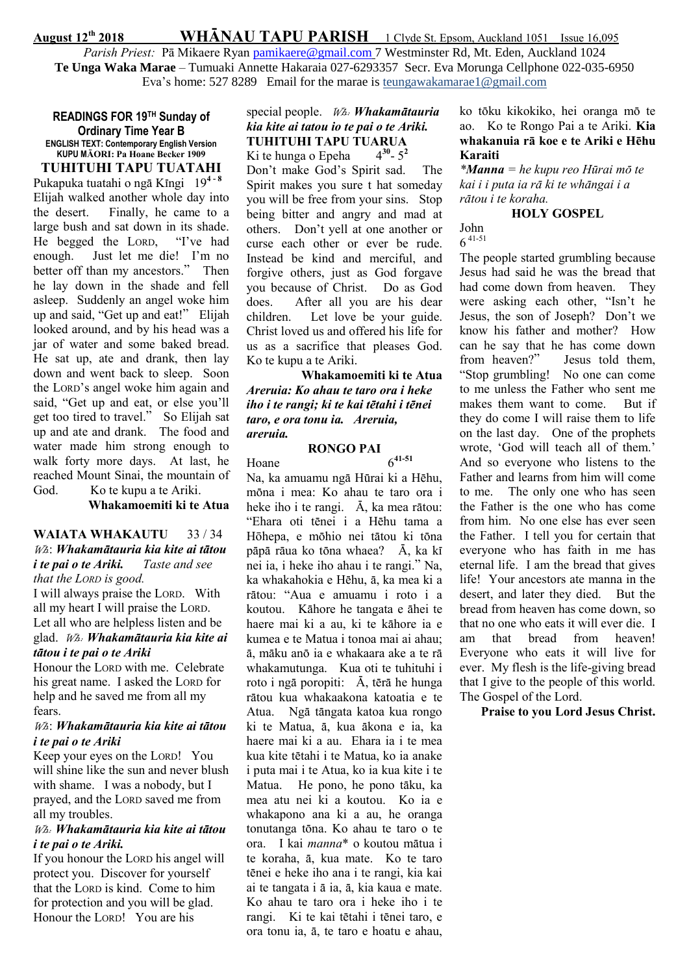Parish Priest: Pā Mikaere Ryan [pamikaere@gmail.com](mailto:pamikaere@gmail.co) 7 Westminster Rd, Mt. Eden, Auckland 1024 **Te Unga Waka Marae** – Tumuaki Annette Hakaraia 027-6293357 Secr. Eva Morunga Cellphone 022-035-6950 Eva's home: 527 8289 Email for the marae is teungawakamarae1@gmail.com

#### **READINGS FOR 19TH Sunday of Ordinary Time Year B ENGLISH TEXT: Contemporary English Version KUPU MĀORI: Pa Hoane Becker 1909** TUHITUHI TAPU TUATAHI

Pukapuka tuatahi o ngā Kīngi 19<sup>4 - 8</sup> Elijah walked another whole day into the desert. Finally, he came to a large bush and sat down in its shade. He begged the LORD, "I've had enough. Just let me die! I'm no better off than my ancestors." Then he lay down in the shade and fell asleep. Suddenly an angel woke him up and said, "Get up and eat!" Elijah looked around, and by his head was a jar of water and some baked bread. He sat up, ate and drank, then lay down and went back to sleep. Soon the LORD's angel woke him again and said, "Get up and eat, or else you'll get too tired to travel." So Elijah sat up and ate and drank. The food and water made him strong enough to walk forty more days. At last, he reached Mount Sinai, the mountain of God. Ko te kupu a te Ariki.

Whakamoemiti ki te Atua

## WAIATA WHAKAUTU 33/34 Wh: Whakamätauria kia kite ai tätou i te pai o te Ariki. Taste and see that the LORD is good.

I will always praise the LORD. With all my heart I will praise the LORD. Let all who are helpless listen and be glad. Wh: Whakamätauria kia kite ai tätou i te pai o te Ariki

Honour the LORD with me. Celebrate his great name. I asked the LORD for help and he saved me from all my fears.

### Wh: Whakamätauria kia kite ai tätou i te pai o te Ariki

Keep your eyes on the LORD! You will shine like the sun and never blush with shame. I was a nobody, but I prayed, and the LORD saved me from all my troubles.

## Wh: Whakamätauria kia kite ai tätou i te pai o te Ariki.

If you honour the LORD his angel will protect you. Discover for yourself that the LORD is kind. Come to him for protection and you will be glad. Honour the LORD! You are his

#### special people.  $W\lambda$ . Whakamātauria kia kite ai tatou io te pai o te Ariki. TUHITUHI TAPU TUARUA Ki te hunga o Epeha  $-5^{2}$

Don't make God's Spirit sad. The Spirit makes you sure t hat someday you will be free from your sins. Stop being bitter and angry and mad at others. Don't yell at one another or curse each other or ever be rude. Instead be kind and merciful, and forgive others, just as God forgave you because of Christ. Do as God does. After all you are his dear children. Let love be your guide. Christ loved us and offered his life for us as a sacrifice that pleases God. Ko te kupu a te Ariki.

 Whakamoemiti ki te Atua Areruia: Ko ahau te taro ora i heke iho i te rangi; ki te kai tëtahi i tënei taro, e ora tonu ia. Areruia, areruia.

#### RONGO PAI Hoane  $6^{41-51}$

Na, ka amuamu ngä Hürai ki a Hëhu, möna i mea: Ko ahau te taro ora i heke iho i te rangi. Ä, ka mea rätou: "Ehara oti tënei i a Hëhu tama a Hōhepa, e möhio nei tätou ki töna päpä räua ko töna whaea? Ä, ka kï nei ia, i heke iho ahau i te rangi." Na, ka whakahokia e Hëhu, ä, ka mea ki a rätou: "Aua e amuamu i roto i a koutou. Kähore he tangata e ähei te haere mai ki a au, ki te kähore ia e kumea e te Matua i tonoa mai ai ahau; ä, mäku anö ia e whakaara ake a te rä whakamutunga. Kua oti te tuhituhi i roto i ngä poropiti: Ä, tërä he hunga rätou kua whakaakona katoatia e te Atua. Ngä tängata katoa kua rongo ki te Matua, ä, kua äkona e ia, ka haere mai ki a au. Ehara ia i te mea kua kite tëtahi i te Matua, ko ia anake i puta mai i te Atua, ko ia kua kite i te Matua. He pono, he pono täku, ka mea atu nei ki a koutou. Ko ia e whakapono ana ki a au, he oranga tonutanga töna. Ko ahau te taro o te ora. I kai manna\* o koutou mätua i te koraha, ä, kua mate. Ko te taro tënei e heke iho ana i te rangi, kia kai ai te tangata i ä ia, ä, kia kaua e mate. Ko ahau te taro ora i heke iho i te rangi. Ki te kai tëtahi i tënei taro, e ora tonu ia, ä, te taro e hoatu e ahau,

ko töku kikokiko, hei oranga mö te ao. Ko te Rongo Pai a te Ariki. Kia whakanuia r**ā** koe e te Ariki e H**ē**hu Karaiti

\*Manna = he kupu reo Hürai mö te kai i i puta ia rä ki te whängai i a rätou i te koraha.

## HOLY GOSPEL

John 6 41-51

The people started grumbling because Jesus had said he was the bread that had come down from heaven. They were asking each other, "Isn't he Jesus, the son of Joseph? Don't we know his father and mother? How can he say that he has come down from heaven?" Jesus told them, "Stop grumbling! No one can come to me unless the Father who sent me makes them want to come. But if they do come I will raise them to life on the last day. One of the prophets wrote, 'God will teach all of them.' And so everyone who listens to the Father and learns from him will come to me. The only one who has seen the Father is the one who has come from him. No one else has ever seen the Father. I tell you for certain that everyone who has faith in me has eternal life. I am the bread that gives life! Your ancestors ate manna in the desert, and later they died. But the bread from heaven has come down, so that no one who eats it will ever die. I am that bread from heaven! Everyone who eats it will live for ever. My flesh is the life-giving bread that I give to the people of this world. The Gospel of the Lord.

Praise to you Lord Jesus Christ.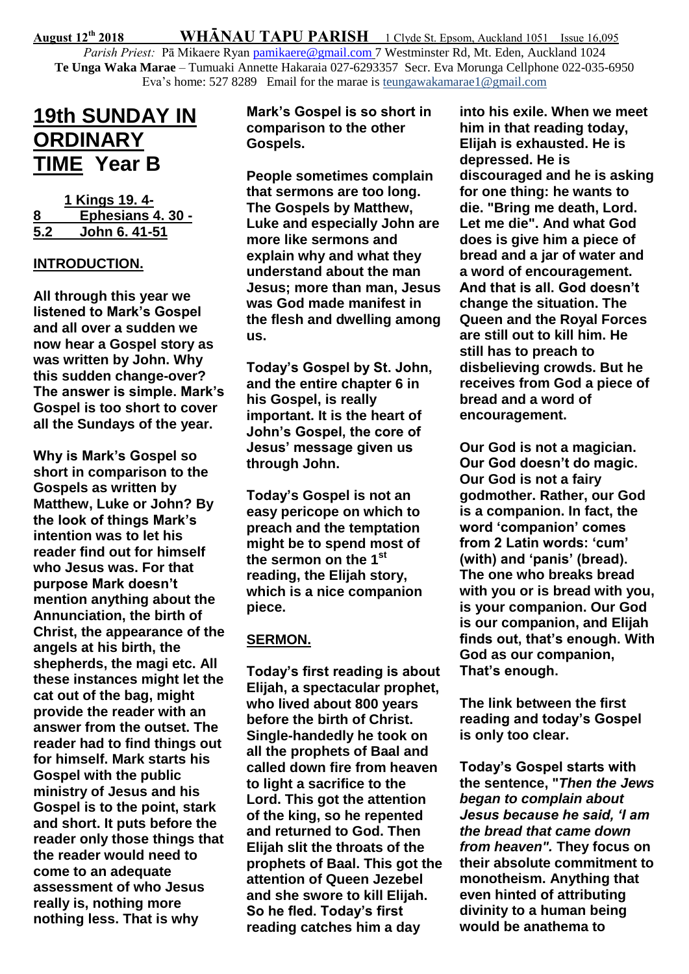Parish Priest: Pā Mikaere Ryan [pamikaere@gmail.com](mailto:pamikaere@gmail.co) 7 Westminster Rd, Mt. Eden, Auckland 1024 **Te Unga Waka Marae** – Tumuaki Annette Hakaraia 027-6293357 Secr. Eva Morunga Cellphone 022-035-6950 Eva's home: 527 8289 Email for the marae is teungawakamarae1@gmail.com

# **19th SUNDAY IN ORDINARY TIME Year B**

|     | 1 Kings 19.4-    |
|-----|------------------|
| 8   | Ephesians 4.30 - |
| 5.2 | John 6.41-51     |

# **INTRODUCTION.**

**All through this year we listened to Mark's Gospel and all over a sudden we now hear a Gospel story as was written by John. Why this sudden change-over? The answer is simple. Mark's Gospel is too short to cover all the Sundays of the year.** 

**Why is Mark's Gospel so short in comparison to the Gospels as written by Matthew, Luke or John? By the look of things Mark's intention was to let his reader find out for himself who Jesus was. For that purpose Mark doesn't mention anything about the Annunciation, the birth of Christ, the appearance of the angels at his birth, the shepherds, the magi etc. All these instances might let the cat out of the bag, might provide the reader with an answer from the outset. The reader had to find things out for himself. Mark starts his Gospel with the public ministry of Jesus and his Gospel is to the point, stark and short. It puts before the reader only those things that the reader would need to come to an adequate assessment of who Jesus really is, nothing more nothing less. That is why** 

## **Mark's Gospel is so short in comparison to the other Gospels.**

**People sometimes complain that sermons are too long. The Gospels by Matthew, Luke and especially John are more like sermons and explain why and what they understand about the man Jesus; more than man, Jesus was God made manifest in the flesh and dwelling among us.**

**Today's Gospel by St. John, and the entire chapter 6 in his Gospel, is really important. It is the heart of John's Gospel, the core of Jesus' message given us through John.**

**Today's Gospel is not an easy pericope on which to preach and the temptation might be to spend most of the sermon on the 1st reading, the Elijah story, which is a nice companion piece.**

# **SERMON.**

**Today's first reading is about Elijah, a spectacular prophet, who lived about 800 years before the birth of Christ. Single-handedly he took on all the prophets of Baal and called down fire from heaven to light a sacrifice to the Lord. This got the attention of the king, so he repented and returned to God. Then Elijah slit the throats of the prophets of Baal. This got the attention of Queen Jezebel and she swore to kill Elijah. So he fled. Today's first reading catches him a day** 

**into his exile. When we meet him in that reading today, Elijah is exhausted. He is depressed. He is discouraged and he is asking for one thing: he wants to die. "Bring me death, Lord. Let me die". And what God does is give him a piece of bread and a jar of water and a word of encouragement. And that is all. God doesn't change the situation. The Queen and the Royal Forces are still out to kill him. He still has to preach to disbelieving crowds. But he receives from God a piece of bread and a word of encouragement.**

**Our God is not a magician. Our God doesn't do magic. Our God is not a fairy godmother. Rather, our God is a companion. In fact, the word 'companion' comes from 2 Latin words: 'cum' (with) and 'panis' (bread). The one who breaks bread with you or is bread with you, is your companion. Our God is our companion, and Elijah finds out, that's enough. With God as our companion, That's enough.**

**The link between the first reading and today's Gospel is only too clear.**

**Today's Gospel starts with the sentence, "***Then the Jews began to complain about Jesus because he said, 'I am the bread that came down from heaven".* **They focus on their absolute commitment to monotheism. Anything that even hinted of attributing divinity to a human being would be anathema to**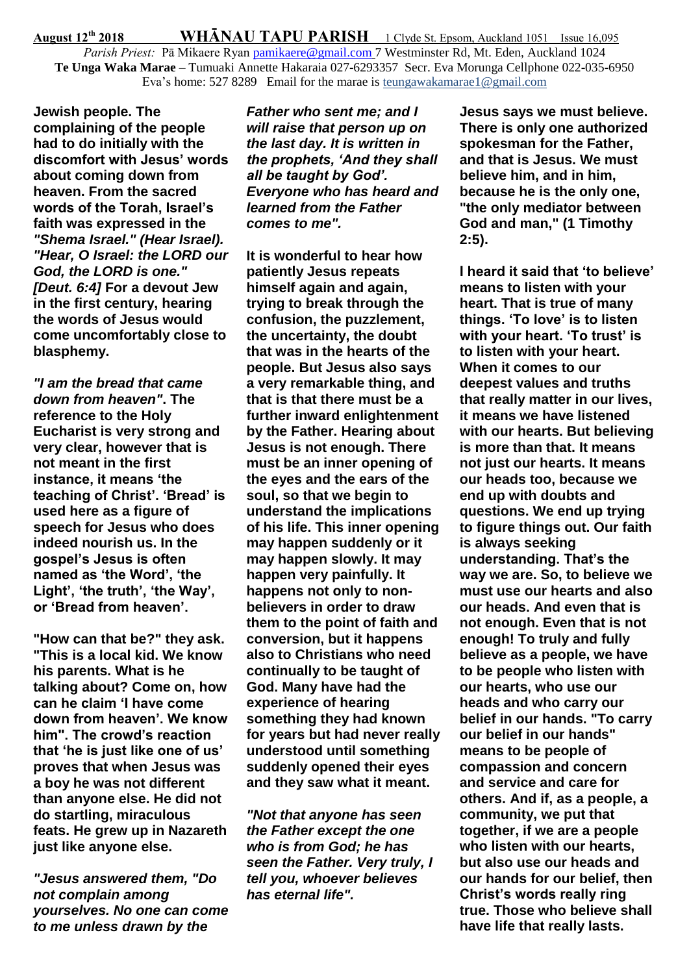Parish Priest: Pā Mikaere Ryan [pamikaere@gmail.com](mailto:pamikaere@gmail.co) 7 Westminster Rd, Mt. Eden, Auckland 1024 **Te Unga Waka Marae** – Tumuaki Annette Hakaraia 027-6293357 Secr. Eva Morunga Cellphone 022-035-6950 Eva's home: 527 8289 Email for the marae is teungawakamarae1@gmail.com

**Jewish people. The complaining of the people had to do initially with the discomfort with Jesus' words about coming down from heaven. From the sacred words of the Torah, Israel's faith was expressed in the**  *"Shema Israel." (Hear Israel). "Hear, O Israel: the LORD our God, the LORD is one." [Deut. 6:4]* **For a devout Jew in the first century, hearing the words of Jesus would come uncomfortably close to blasphemy.**

*"I am the bread that came down from heaven"***. The reference to the Holy Eucharist is very strong and very clear, however that is not meant in the first instance, it means 'the teaching of Christ'. 'Bread' is used here as a figure of speech for Jesus who does indeed nourish us. In the gospel's Jesus is often named as 'the Word', 'the Light', 'the truth', 'the Way', or 'Bread from heaven'.**

**"How can that be?" they ask. "This is a local kid. We know his parents. What is he talking about? Come on, how can he claim 'I have come down from heaven'. We know him". The crowd's reaction that 'he is just like one of us' proves that when Jesus was a boy he was not different than anyone else. He did not do startling, miraculous feats. He grew up in Nazareth just like anyone else.**

*"Jesus answered them, "Do not complain among yourselves. No one can come to me unless drawn by the* 

*Father who sent me; and I will raise that person up on the last day. It is written in the prophets, 'And they shall all be taught by God'. Everyone who has heard and learned from the Father comes to me".*

**It is wonderful to hear how patiently Jesus repeats himself again and again, trying to break through the confusion, the puzzlement, the uncertainty, the doubt that was in the hearts of the people. But Jesus also says a very remarkable thing, and that is that there must be a further inward enlightenment by the Father. Hearing about Jesus is not enough. There must be an inner opening of the eyes and the ears of the soul, so that we begin to understand the implications of his life. This inner opening may happen suddenly or it may happen slowly. It may happen very painfully. It happens not only to nonbelievers in order to draw them to the point of faith and conversion, but it happens also to Christians who need continually to be taught of God. Many have had the experience of hearing something they had known for years but had never really understood until something suddenly opened their eyes and they saw what it meant.**

*"Not that anyone has seen the Father except the one who is from God; he has seen the Father. Very truly, I tell you, whoever believes has eternal life".*

**Jesus says we must believe. There is only one authorized spokesman for the Father, and that is Jesus. We must believe him, and in him, because he is the only one, "the only mediator between God and man," (1 Timothy 2:5).**

**I heard it said that 'to believe' means to listen with your heart. That is true of many things. 'To love' is to listen with your heart. 'To trust' is to listen with your heart. When it comes to our deepest values and truths that really matter in our lives, it means we have listened with our hearts. But believing is more than that. It means not just our hearts. It means our heads too, because we end up with doubts and questions. We end up trying to figure things out. Our faith is always seeking understanding. That's the way we are. So, to believe we must use our hearts and also our heads. And even that is not enough. Even that is not enough! To truly and fully believe as a people, we have to be people who listen with our hearts, who use our heads and who carry our belief in our hands. "To carry our belief in our hands" means to be people of compassion and concern and service and care for others. And if, as a people, a community, we put that together, if we are a people who listen with our hearts, but also use our heads and our hands for our belief, then Christ's words really ring true. Those who believe shall have life that really lasts.**